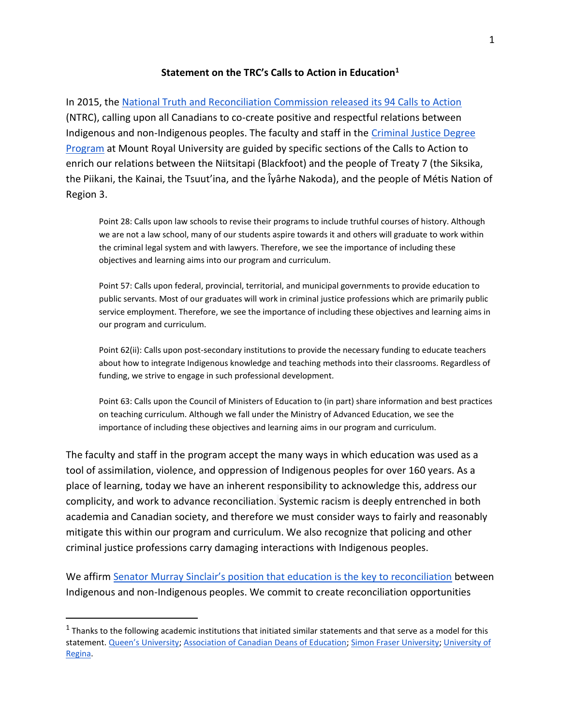## **Statement on the TRC's Calls to Action in Education<sup>1</sup>**

In 2015, the [National Truth and Reconciliation Commission released its 94 Calls to Action](https://www2.gov.bc.ca/assets/gov/british-columbians-our-governments/indigenous-people/aboriginal-peoples-documents/calls_to_action_english2.pdf) (NTRC), calling upon all Canadians to co-create positive and respectful relations between Indigenous and non-Indigenous peoples. The faculty and staff in the [Criminal Justice Degree](https://www.mtroyal.ca/ProgramsCourses/FacultiesSchoolsCentres/Arts/Departments/EconomicsJusticePolicyStudies/DegreePrograms/BachelorofArts-CriminalJustice/index.htm)  [Program](https://www.mtroyal.ca/ProgramsCourses/FacultiesSchoolsCentres/Arts/Departments/EconomicsJusticePolicyStudies/DegreePrograms/BachelorofArts-CriminalJustice/index.htm) at Mount Royal University are guided by specific sections of the Calls to Action to enrich our relations between the Niitsitapi (Blackfoot) and the people of Treaty 7 (the Siksika, the Piikani, the Kainai, the Tsuut'ina, and the Îyârhe Nakoda), and the people of Métis Nation of Region 3.

Point 28: Calls upon law schools to revise their programs to include truthful courses of history. Although we are not a law school, many of our students aspire towards it and others will graduate to work within the criminal legal system and with lawyers. Therefore, we see the importance of including these objectives and learning aims into our program and curriculum.

Point 57: Calls upon federal, provincial, territorial, and municipal governments to provide education to public servants. Most of our graduates will work in criminal justice professions which are primarily public service employment. Therefore, we see the importance of including these objectives and learning aims in our program and curriculum.

Point 62(ii): Calls upon post-secondary institutions to provide the necessary funding to educate teachers about how to integrate Indigenous knowledge and teaching methods into their classrooms. Regardless of funding, we strive to engage in such professional development.

Point 63: Calls upon the Council of Ministers of Education to (in part) share information and best practices on teaching curriculum. Although we fall under the Ministry of Advanced Education, we see the importance of including these objectives and learning aims in our program and curriculum.

The faculty and staff in the program accept the many ways in which education was used as a tool of assimilation, violence, and oppression of Indigenous peoples for over 160 years. As a place of learning, today we have an inherent responsibility to acknowledge this, address our complicity, and work to advance reconciliation. Systemic racism is deeply entrenched in both academia and Canadian society, and therefore we must consider ways to fairly and reasonably mitigate this within our program and curriculum. We also recognize that policing and other criminal justice professions carry damaging interactions with Indigenous peoples.

We affirm [Senator Murray Sinclair's position that education is the key to reconciliation](https://rabble.ca/education/murray-sinclair-education-key-to-reconciliation/) between Indigenous and non-Indigenous peoples. We commit to create reconciliation opportunities

 $\overline{a}$ 

 $^1$  Thanks to the following academic institutions that initiated similar statements and that serve as a model for this statement. [Queen's University](https://www.queensu.ca/provost/statements/statement-support-indigenous-students-staff-and-faculty)[; Association of Canadian Deans of Education;](https://csse-scee.ca/acde/wp-content/uploads/sites/7/2018/02/Reconciliation-statement.pdf) [Simon Fraser University;](https://www.sfu.ca/pres/the-president/statements/2021/taking-action--reconciliation-at-sfu.html) [University of](https://www.uregina.ca/external/communications/releases/current/nr-12132018.html)  [Regina.](https://www.uregina.ca/external/communications/releases/current/nr-12132018.html)